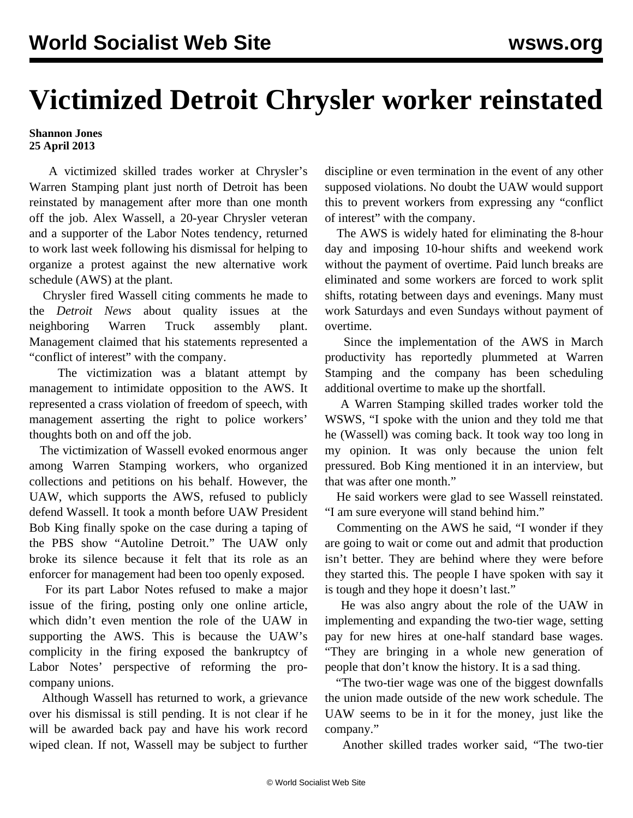## **Victimized Detroit Chrysler worker reinstated**

## **Shannon Jones 25 April 2013**

 A victimized skilled trades worker at Chrysler's Warren Stamping plant just north of Detroit has been reinstated by management after more than one month off the job. Alex Wassell, a 20-year Chrysler veteran and a supporter of the Labor Notes tendency, returned to work last week following his dismissal for helping to organize a protest against the new alternative work schedule (AWS) at the plant.

 Chrysler fired Wassell citing comments he made to the *Detroit News* about quality issues at the neighboring Warren Truck assembly plant. Management claimed that his statements represented a "conflict of interest" with the company.

 The victimization was a blatant attempt by management to intimidate opposition to the AWS. It represented a crass violation of freedom of speech, with management asserting the right to police workers' thoughts both on and off the job.

 The victimization of Wassell evoked enormous anger among Warren Stamping workers, who organized collections and petitions on his behalf. However, the UAW, which supports the AWS, refused to publicly defend Wassell. It took a month before UAW President Bob King finally spoke on the case during a taping of the PBS show "Autoline Detroit." The UAW only broke its silence because it felt that its role as an enforcer for management had been too openly exposed.

 For its part Labor Notes refused to make a major issue of the firing, posting only one online article, which didn't even mention the role of the UAW in supporting the AWS. This is because the UAW's complicity in the firing exposed the bankruptcy of Labor Notes' perspective of reforming the procompany unions.

 Although Wassell has returned to work, a grievance over his dismissal is still pending. It is not clear if he will be awarded back pay and have his work record wiped clean. If not, Wassell may be subject to further discipline or even termination in the event of any other supposed violations. No doubt the UAW would support this to prevent workers from expressing any "conflict of interest" with the company.

 The AWS is widely hated for eliminating the 8-hour day and imposing 10-hour shifts and weekend work without the payment of overtime. Paid lunch breaks are eliminated and some workers are forced to work split shifts, rotating between days and evenings. Many must work Saturdays and even Sundays without payment of overtime.

 Since the implementation of the AWS in March productivity has reportedly plummeted at Warren Stamping and the company has been scheduling additional overtime to make up the shortfall.

 A Warren Stamping skilled trades worker told the WSWS, "I spoke with the union and they told me that he (Wassell) was coming back. It took way too long in my opinion. It was only because the union felt pressured. Bob King mentioned it in an interview, but that was after one month."

 He said workers were glad to see Wassell reinstated. "I am sure everyone will stand behind him."

 Commenting on the AWS he said, "I wonder if they are going to wait or come out and admit that production isn't better. They are behind where they were before they started this. The people I have spoken with say it is tough and they hope it doesn't last."

 He was also angry about the role of the UAW in implementing and expanding the two-tier wage, setting pay for new hires at one-half standard base wages. "They are bringing in a whole new generation of people that don't know the history. It is a sad thing.

 "The two-tier wage was one of the biggest downfalls the union made outside of the new work schedule. The UAW seems to be in it for the money, just like the company."

Another skilled trades worker said, "The two-tier